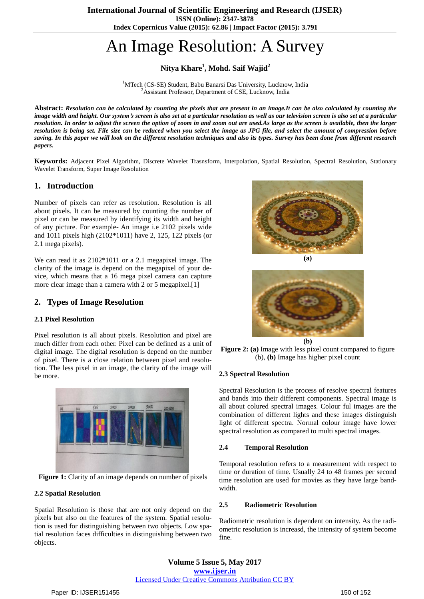**ISSN (Online): 2347-3878 Index Copernicus Value (2015): 62.86 | Impact Factor (2015): 3.791**

# An Image Resolution: A Survey

# **Nitya Khare<sup>1</sup> , Mohd. Saif Wajid<sup>2</sup>**

<sup>1</sup>MTech (CS-SE) Student, Babu Banarsi Das University, Lucknow, India <sup>2</sup>Assistant Professor, Department of CSE, Lucknow, India

Abstract: Resolution can be calculated by counting the pixels that are present in an image. It can be also calculated by counting the image width and height. Our system's screen is also set at a particular resolution as well as our television screen is also set at a particular resolution. In order to adjust the screen the option of zoom in and zoom out are used.As large as the screen is available, then the larger resolution is being set. File size can be reduced when you select the image as JPG file, and select the amount of compression before saving. In this paper we will look on the different resolution techniques and also its types. Survey has been done from different research *papers.*

**Keywords:** Adjacent Pixel Algorithm, Discrete Wavelet Trasnsform, Interpolation, Spatial Resolution, Spectral Resolution, Stationary Wavelet Transform, Super Image Resolution

## **1. Introduction**

Number of pixels can refer as resolution. Resolution is all about pixels. It can be measured by counting the number of pixel or can be measured by identifying its width and height of any picture. For example- An image i.e 2102 pixels wide and 1011 pixels high (2102\*1011) have 2, 125, 122 pixels (or 2.1 mega pixels).

We can read it as 2102\*1011 or a 2.1 megapixel image. The clarity of the image is depend on the megapixel of your device, which means that a 16 mega pixel camera can capture more clear image than a camera with 2 or 5 megapixel.<sup>[1]</sup>

## **2. Types of Image Resolution**

### **2.1 Pixel Resolution**

Pixel resolution is all about pixels. Resolution and pixel are much differ from each other. Pixel can be defined as a unit of digital image. The digital resolution is depend on the number of pixel. There is a close relation between pixel and resolution. The less pixel in an image, the clarity of the image will be more.



**Figure 1:** Clarity of an image depends on number of pixels

#### **2.2 Spatial Resolution**

Spatial Resolution is those that are not only depend on the pixels but also on the features of the system. Spatial resolution is used for distinguishing between two objects. Low spatial resolution faces difficulties in distinguishing between two objects.



**(a)**



**Figure 2: (a)** Image with less pixel count compared to figure (b), **(b)** Image has higher pixel count

#### **2.3 Spectral Resolution**

Spectral Resolution is the process of resolve spectral features and bands into their different components. Spectral image is all about colured spectral images. Colour ful images are the combination of different lights and these images distinguish light of different spectra. Normal colour image have lower spectral resolution as compared to multi spectral images.

#### **2.4 Temporal Resolution**

Temporal resolution refers to a measurement with respect to time or duration of time. Usually 24 to 48 frames per second time resolution are used for movies as they have large bandwidth.

#### **2.5 Radiometric Resolution**

Radiometric resolution is dependent on intensity. As the radiometric resolution is increasd, the intensity of system become fine.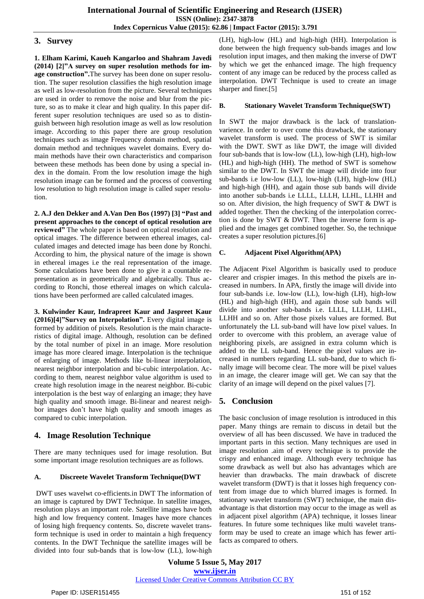### **3. Survey**

**1. Elham Karimi, Kaueh Kangarloo and Shahram Javedi (2014) [2]"A survey on super resolution methods for image construction".**The survey has been done on super resolution. The super resolution classifies the high resolution image as well as low-resolution from the picture. Several techniques are used in order to remove the noise and blur from the picture, so as to make it clear and high quality. In this paper different super resolution techniques are used so as to distinguish between high resolution image as well as low resolution image. According to this paper there are group resolution techniques such as image Frequency domain method, spatial domain method and techniques wavelet domains. Every domain methods have their own characteristics and comparison between these methods has been done by using a special index in the domain. From the low resolution image the high resolution image can be formed and the process of converting low resolution to high resolution image is called super resolution.

**2. A.J den Dekker and A.Van Den Bos (1997) [3] "Past and present approaches to the concept of optical resolution are reviewed"** The whole paper is based on optical resolution and optical images. The difference between ethereal images, calculated images and detected image has been done by Ronchi. According to him, the physical nature of the image is shown in ethereal images i.e the real representation of the image. Some calculations have been done to give it a countable representation as in geometrically and algebraically. Thus according to Ronchi, those ethereal images on which calculations have been performed are called calculated images.

**3. Kulwinder Kaur, Indrapreet Kaur and Jaspreet Kaur (2016)[4]"Survey on Interpolation".** Every digital image is formed by addition of pixels. Resolution is the main characteristics of digital image. Although, resolution can be defined by the total number of pixel in an image. More resolution image has more cleared image. Interpolation is the technique of enlarging of image. Methods like bi-linear interpolation, nearest neighbor interpolation and bi-cubic interpolation. According to them, nearest neighbor value algorithm is used to create high resolution image in the nearest neighbor. Bi-cubic interpolation is the best way of enlarging an image; they have high quality and smooth image. Bi-linear and nearest neighbor images don't have high quality and smooth images as compared to cubic interpolation.

# **4. Image Resolution Technique**

There are many techniques used for image resolution. But some important image resolution techniques are as follows.

### **A. Discreete Wavelet Transform Technique(DWT**

DWT uses wavelwt co-efficients.in DWT The information of an image is captured by DWT Technique. In satellite images, resolution plays an important role. Satellite images have both high and low frequency content. Images have more chances of losing high frequency contents. So, discrete wavelet transform technique is used in order to maintain a high frequency contents. In the DWT Technique the satellite images will be divided into four sub-bands that is low-low (LL), low-high

(LH), high-low (HL) and high-high (HH). Interpolation is done between the high frequency sub-bands images and low resolution input images, and then making the inverse of DWT by which we get the enhanced image. The high frequency content of any image can be reduced by the process called as interpolation. DWT Technique is used to create an image sharper and finer.[5]

### **B. Stationary Wavelet Transform Technique(SWT)**

In SWT the major drawback is the lack of translationvarience. In order to over come this drawback, the stationary wavelet transform is used. The process of SWT is similar with the DWT. SWT as like DWT, the image will divided four sub-bands that is low-low (LL), low-high (LH), high-low (HL) and high-high (HH). The method of SWT is somehow similar to the DWT. In SWT the image will divide into four sub-bands i.e low-low (LL), low-high (LH), high-low (HL) and high-high (HH), and again those sub bands will divide into another sub-bands i.e LLLL, LLLH, LLHL, LLHH and so on. After division, the high frequency of SWT & DWT is added together. Then the checking of the interpolation correction is done by SWT & DWT. Then the inverse form is applied and the images get combined together. So, the technique creates a super resolution pictures.[6]

### **C. Adjacent Pixel Algorithm(APA)**

The Adjacent Pixel Algorithm is basically used to produce clearer and crispier images. In this method the pixels are increased in numbers. In APA, firstly the image will divide into four sub-bands i.e. low-low (LL), low-high (LH), high-low (HL) and high-high (HH), and again those sub bands will divide into another sub-bands i.e. LLLL, LLLH, LLHL, LLHH and so on. After those pixels values are formed. But unfortunately the LL sub-band will have low pixel values. In order to overcome with this problem, an average value of neighboring pixels, are assigned in extra column which is added to the LL sub-band. Hence the pixel values are increased in numbers regarding LL sub-band, due to which finally image will become clear. The more will be pixel values in an image, the clearer image will get. We can say that the clarity of an image will depend on the pixel values [7].

# **5. Conclusion**

The basic conclusion of image resolution is introduced in this paper. Many things are remain to discuss in detail but the overview of all has been discussed. We have in traduced the important parts in this section. Many techniques are used in image resolution .aim of every technique is to provide the crispy and enhanced image. Although every technique has some drawback as well but also has advantages which are heavier than drawbacks. The main drawback of discrete wavelet transform (DWT) is that it losses high frequency content from image due to which blurred images is formed. In stationary wavelet transform (SWT) technique, the main disadvantage is that distortion may occur to the image as well as in adjacent pixel algorithm (APA) technique, it losses linear features. In future some techniques like multi wavelet transform may be used to create an image which has fewer artifacts as compared to others.

**Volume 5 Issue 5, May 2017 www.ijser.in** Licensed Under Creative Commons Attribution CC BY